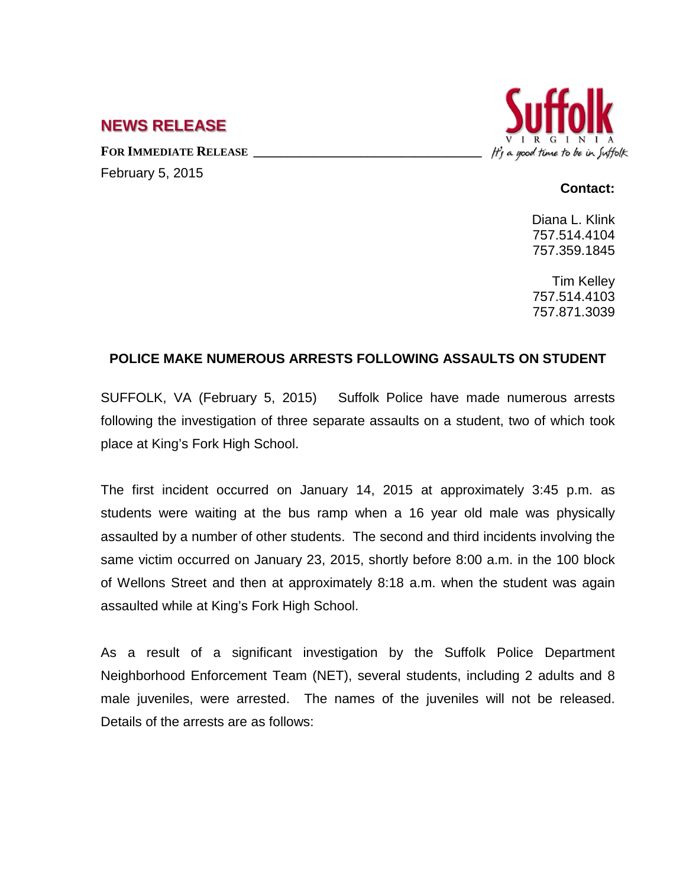## **NEWS RELEASE**

FOR **IMMEDIATE RELEASE** February 5, 2015



## **Contact:**

Diana L. Klink 757.514.4104 757.359.1845

Tim Kelley 757.514.4103 757.871.3039

## **POLICE MAKE NUMEROUS ARRESTS FOLLOWING ASSAULTS ON STUDENT**

SUFFOLK, VA (February 5, 2015) Suffolk Police have made numerous arrests following the investigation of three separate assaults on a student, two of which took place at King's Fork High School.

The first incident occurred on January 14, 2015 at approximately 3:45 p.m. as students were waiting at the bus ramp when a 16 year old male was physically assaulted by a number of other students. The second and third incidents involving the same victim occurred on January 23, 2015, shortly before 8:00 a.m. in the 100 block of Wellons Street and then at approximately 8:18 a.m. when the student was again assaulted while at King's Fork High School.

As a result of a significant investigation by the Suffolk Police Department Neighborhood Enforcement Team (NET), several students, including 2 adults and 8 male juveniles, were arrested. The names of the juveniles will not be released. Details of the arrests are as follows: